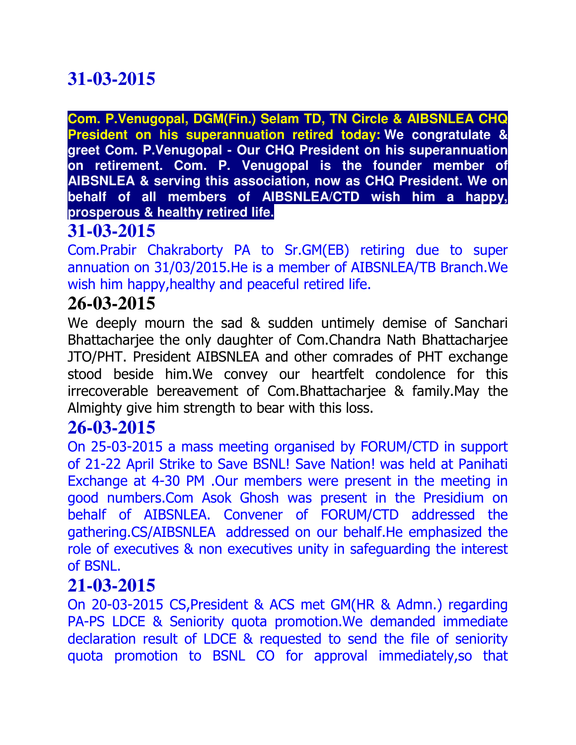**Com. P.Venugopal, DGM(Fin.) Selam TD, TN Circle & AIBSNLEA CHQ President on his superannuation retired today: We congratulate & greet Com. P.Venugopal - Our CHQ President on his superannuation on retirement. Com. P. Venugopal is the founder member of AIBSNLEA & serving this association, now as CHQ President. We on behalf of all members of AIBSNLEA/CTD wish him a happy, prosperous & healthy retired life.**

## **31-03-2015**

Com.Prabir Chakraborty PA to Sr.GM(EB) retiring due to super annuation on 31/03/2015.He is a member of AIBSNLEA/TB Branch.We wish him happy, healthy and peaceful retired life.

### **26-03-2015**

We deeply mourn the sad & sudden untimely demise of Sanchari Bhattacharjee the only daughter of Com.Chandra Nath Bhattacharjee JTO/PHT. President AIBSNLEA and other comrades of PHT exchange stood beside him.We convey our heartfelt condolence for this irrecoverable bereavement of Com.Bhattacharjee & family.May the Almighty give him strength to bear with this loss.

### **26-03-2015**

On 25-03-2015 a mass meeting organised by FORUM/CTD in support of 21-22 April Strike to Save BSNL! Save Nation! was held at Panihati Exchange at 4-30 PM .Our members were present in the meeting in good numbers.Com Asok Ghosh was present in the Presidium on behalf of AIBSNLEA. Convener of FORUM/CTD addressed the gathering.CS/AIBSNLEA addressed on our behalf.He emphasized the role of executives & non executives unity in safeguarding the interest of BSNL.

## **21-03-2015**

On 20-03-2015 CS,President & ACS met GM(HR & Admn.) regarding PA-PS LDCE & Seniority quota promotion.We demanded immediate declaration result of LDCE & requested to send the file of seniority quota promotion to BSNL CO for approval immediately,so that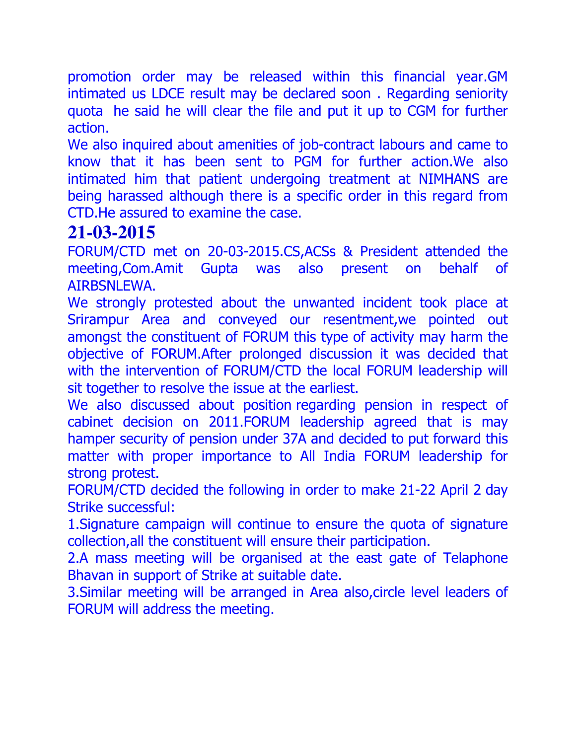promotion order may be released within this financial year.GM intimated us LDCE result may be declared soon . Regarding seniority quota he said he will clear the file and put it up to CGM for further action.

We also inquired about amenities of job-contract labours and came to know that it has been sent to PGM for further action.We also intimated him that patient undergoing treatment at NIMHANS are being harassed although there is a specific order in this regard from CTD.He assured to examine the case.

# **21-03-2015**

FORUM/CTD met on 20-03-2015.CS,ACSs & President attended the meeting,Com.Amit Gupta was also present on behalf of AIRBSNLEWA.

We strongly protested about the unwanted incident took place at Srirampur Area and conveyed our resentment,we pointed out amongst the constituent of FORUM this type of activity may harm the objective of FORUM.After prolonged discussion it was decided that with the intervention of FORUM/CTD the local FORUM leadership will sit together to resolve the issue at the earliest.

We also discussed about position regarding pension in respect of cabinet decision on 2011.FORUM leadership agreed that is may hamper security of pension under 37A and decided to put forward this matter with proper importance to All India FORUM leadership for strong protest.

FORUM/CTD decided the following in order to make 21-22 April 2 day Strike successful:

1.Signature campaign will continue to ensure the quota of signature collection,all the constituent will ensure their participation.

2.A mass meeting will be organised at the east gate of Telaphone Bhavan in support of Strike at suitable date.

3.Similar meeting will be arranged in Area also,circle level leaders of FORUM will address the meeting.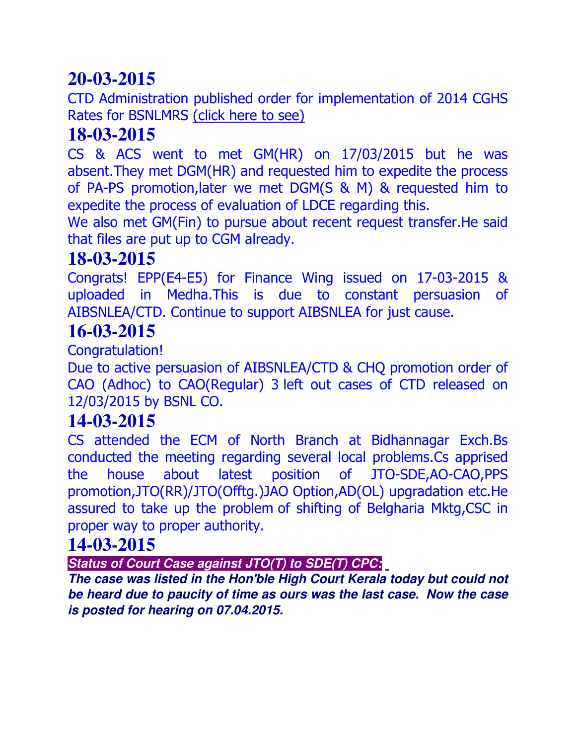CTD Administration published order for implementation of 2014 CGHS Rates for BSNLMRS (click here to see)

## **18-03-2015**

CS & ACS went to met GM(HR) on 17/03/2015 but he was absent.They met DGM(HR) and requested him to expedite the process of PA-PS promotion,later we met DGM(S & M) & requested him to expedite the process of evaluation of LDCE regarding this.

We also met GM(Fin) to pursue about recent request transfer.He said that files are put up to CGM already.

### **18-03-2015**

Congrats! EPP(E4-E5) for Finance Wing issued on 17-03-2015 & uploaded in Medha.This is due to constant persuasion of AIBSNLEA/CTD. Continue to support AIBSNLEA for just cause.

# **16-03-2015**

Congratulation!

Due to active persuasion of AIBSNLEA/CTD & CHQ promotion order of CAO (Adhoc) to CAO(Regular) 3 left out cases of CTD released on 12/03/2015 by BSNL CO.

## **14-03-2015**

CS attended the ECM of North Branch at Bidhannagar Exch.Bs conducted the meeting regarding several local problems.Cs apprised the house about latest position of JTO-SDE,AO-CAO,PPS promotion,JTO(RR)/JTO(Offtg.)JAO Option,AD(OL) upgradation etc.He assured to take up the problem of shifting of Belgharia Mktg,CSC in proper way to proper authority.

### **14-03-2015**

*Status of Court Case against JTO(T) to SDE(T) CPC:*

*The case was listed in the Hon'ble High Court Kerala today but could not be heard due to paucity of time as ours was the last case. Now the case is posted for hearing on 07.04.2015.*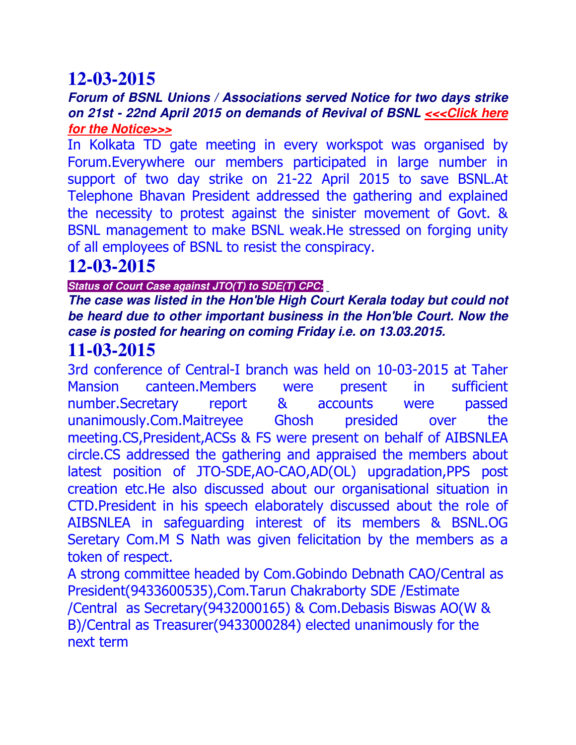#### *Forum of BSNL Unions / Associations served Notice for two days strike on 21st - 22nd April 2015 on demands of Revival of BSNL <<<Click here for the Notice>>>*

In Kolkata TD gate meeting in every workspot was organised by Forum.Everywhere our members participated in large number in support of two day strike on 21-22 April 2015 to save BSNL.At Telephone Bhavan President addressed the gathering and explained the necessity to protest against the sinister movement of Govt. & BSNL management to make BSNL weak.He stressed on forging unity of all employees of BSNL to resist the conspiracy.

## **12-03-2015**

#### *Status of Court Case against JTO(T) to SDE(T) CPC:*

#### *The case was listed in the Hon'ble High Court Kerala today but could not be heard due to other important business in the Hon'ble Court. Now the case is posted for hearing on coming Friday i.e. on 13.03.2015.*

### **11-03-2015**

3rd conference of Central-I branch was held on 10-03-2015 at Taher Mansion canteen.Members were present in sufficient number.Secretary report & accounts were passed unanimously.Com.Maitreyee Ghosh presided over the meeting.CS,President,ACSs & FS were present on behalf of AIBSNLEA circle.CS addressed the gathering and appraised the members about latest position of JTO-SDE,AO-CAO,AD(OL) upgradation,PPS post creation etc.He also discussed about our organisational situation in CTD.President in his speech elaborately discussed about the role of AIBSNLEA in safeguarding interest of its members & BSNL.OG Seretary Com.M S Nath was given felicitation by the members as a token of respect.

A strong committee headed by Com.Gobindo Debnath CAO/Central as President(9433600535),Com.Tarun Chakraborty SDE /Estimate /Central as Secretary(9432000165) & Com.Debasis Biswas AO(W & B)/Central as Treasurer(9433000284) elected unanimously for the next term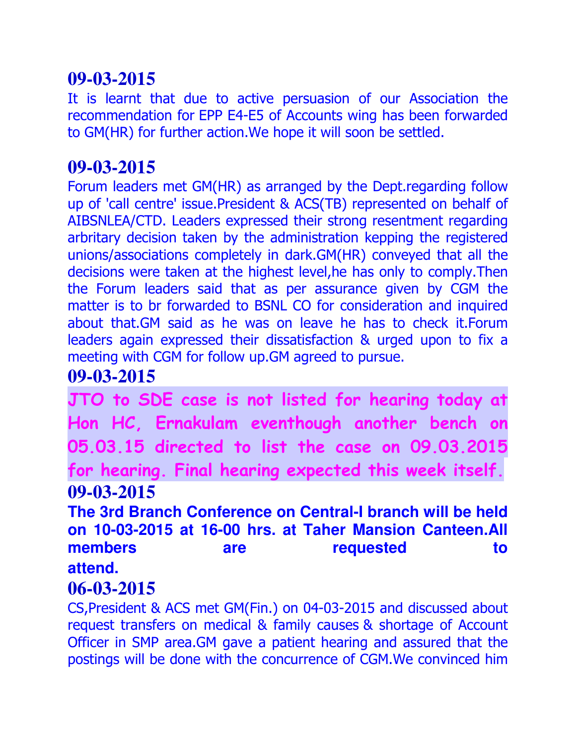It is learnt that due to active persuasion of our Association the recommendation for EPP E4-E5 of Accounts wing has been forwarded to GM(HR) for further action.We hope it will soon be settled.

### **09-03-2015**

Forum leaders met GM(HR) as arranged by the Dept.regarding follow up of 'call centre' issue.President & ACS(TB) represented on behalf of AIBSNLEA/CTD. Leaders expressed their strong resentment regarding arbritary decision taken by the administration kepping the registered unions/associations completely in dark.GM(HR) conveyed that all the decisions were taken at the highest level,he has only to comply.Then the Forum leaders said that as per assurance given by CGM the matter is to br forwarded to BSNL CO for consideration and inquired about that.GM said as he was on leave he has to check it.Forum leaders again expressed their dissatisfaction & urged upon to fix a meeting with CGM for follow up.GM agreed to pursue.

### **09-03-2015**

**JTO to SDE case is not listed for hearing today at Hon HC, Ernakulam eventhough another bench on 05.03.15 directed to list the case on 09.03.2015 for hearing. Final hearing expected this week itself. 09-03-2015** 

**The 3rd Branch Conference on Central-I branch will be held on 10-03-2015 at 16-00 hrs. at Taher Mansion Canteen.All members** are requested to **attend.** 

### **06-03-2015**

CS,President & ACS met GM(Fin.) on 04-03-2015 and discussed about request transfers on medical & family causes & shortage of Account Officer in SMP area.GM gave a patient hearing and assured that the postings will be done with the concurrence of CGM.We convinced him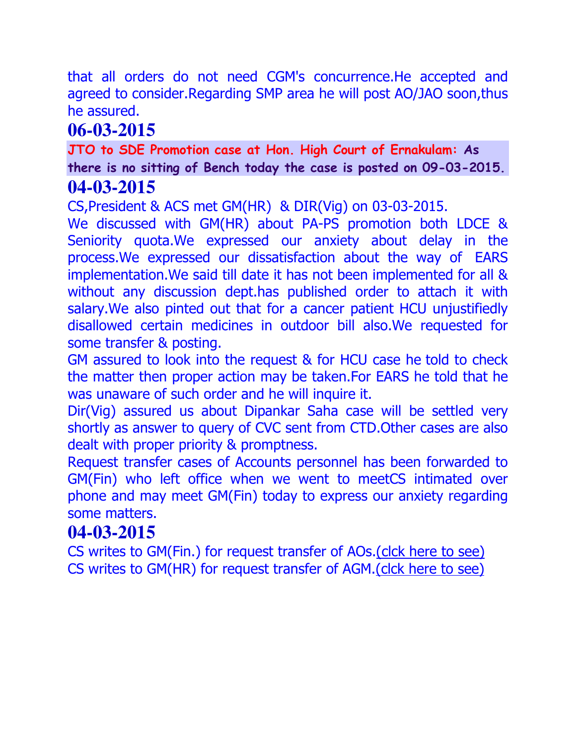that all orders do not need CGM's concurrence.He accepted and agreed to consider.Regarding SMP area he will post AO/JAO soon,thus he assured.

# **06-03-2015**

**JTO to SDE Promotion case at Hon. High Court of Ernakulam: As there is no sitting of Bench today the case is posted on 09-03-2015. 04-03-2015**

CS,President & ACS met GM(HR) & DIR(Vig) on 03-03-2015.

We discussed with GM(HR) about PA-PS promotion both LDCE & Seniority quota.We expressed our anxiety about delay in the process.We expressed our dissatisfaction about the way of EARS implementation.We said till date it has not been implemented for all & without any discussion dept.has published order to attach it with salary.We also pinted out that for a cancer patient HCU unjustifiedly disallowed certain medicines in outdoor bill also.We requested for some transfer & posting.

GM assured to look into the request & for HCU case he told to check the matter then proper action may be taken.For EARS he told that he was unaware of such order and he will inquire it.

Dir(Vig) assured us about Dipankar Saha case will be settled very shortly as answer to query of CVC sent from CTD.Other cases are also dealt with proper priority & promptness.

Request transfer cases of Accounts personnel has been forwarded to GM(Fin) who left office when we went to meetCS intimated over phone and may meet GM(Fin) today to express our anxiety regarding some matters.

### **04-03-2015**

CS writes to GM(Fin.) for request transfer of AOs.(clck here to see) CS writes to GM(HR) for request transfer of AGM.(clck here to see)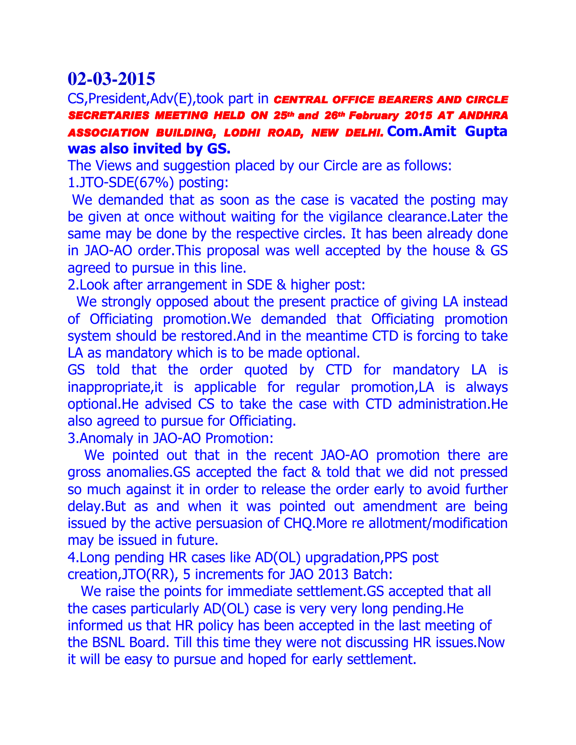#### CS,President,Adv(E),took part in *CENTRAL OFFICE BEARERS AND CIRCLE*  **SECRETARIES MEETING HELD ON 25<sup>th</sup> and 26<sup>th</sup> February 2015 AT ANDHRA ASSOCIATION BUILDING, LODHI ROAD, NEW DELHI. COM.Amit Gupta was also invited by GS.**

The Views and suggestion placed by our Circle are as follows:

1.JTO-SDE(67%) posting:

We demanded that as soon as the case is vacated the posting may be given at once without waiting for the vigilance clearance.Later the same may be done by the respective circles. It has been already done in JAO-AO order.This proposal was well accepted by the house & GS agreed to pursue in this line.

2.Look after arrangement in SDE & higher post:

 We strongly opposed about the present practice of giving LA instead of Officiating promotion.We demanded that Officiating promotion system should be restored.And in the meantime CTD is forcing to take LA as mandatory which is to be made optional.

GS told that the order quoted by CTD for mandatory LA is inappropriate,it is applicable for regular promotion,LA is always optional.He advised CS to take the case with CTD administration.He also agreed to pursue for Officiating.

3.Anomaly in JAO-AO Promotion:

We pointed out that in the recent JAO-AO promotion there are gross anomalies.GS accepted the fact & told that we did not pressed so much against it in order to release the order early to avoid further delay.But as and when it was pointed out amendment are being issued by the active persuasion of CHQ.More re allotment/modification may be issued in future.

4.Long pending HR cases like AD(OL) upgradation,PPS post creation,JTO(RR), 5 increments for JAO 2013 Batch:

 We raise the points for immediate settlement.GS accepted that all the cases particularly AD(OL) case is very very long pending.He informed us that HR policy has been accepted in the last meeting of the BSNL Board. Till this time they were not discussing HR issues.Now it will be easy to pursue and hoped for early settlement.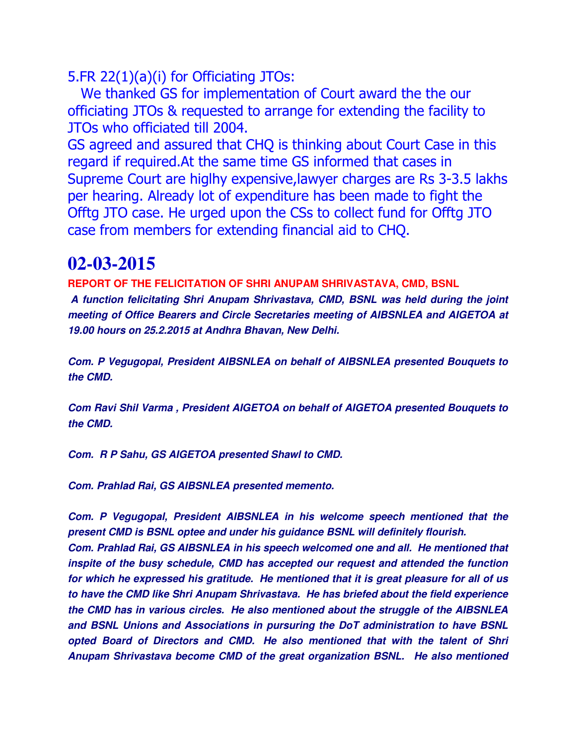5.FR 22(1)(a)(i) for Officiating JTOs:

 We thanked GS for implementation of Court award the the our officiating JTOs & requested to arrange for extending the facility to JTOs who officiated till 2004.

GS agreed and assured that CHQ is thinking about Court Case in this regard if required.At the same time GS informed that cases in Supreme Court are higlhy expensive,lawyer charges are Rs 3-3.5 lakhs per hearing. Already lot of expenditure has been made to fight the Offtg JTO case. He urged upon the CSs to collect fund for Offtg JTO case from members for extending financial aid to CHQ.

## **02-03-2015**

**REPORT OF THE FELICITATION OF SHRI ANUPAM SHRIVASTAVA, CMD, BSNL**  *A function felicitating Shri Anupam Shrivastava, CMD, BSNL was held during the joint meeting of Office Bearers and Circle Secretaries meeting of AIBSNLEA and AIGETOA at 19.00 hours on 25.2.2015 at Andhra Bhavan, New Delhi.*

*Com. P Vegugopal, President AIBSNLEA on behalf of AIBSNLEA presented Bouquets to the CMD.*

*Com Ravi Shil Varma , President AIGETOA on behalf of AIGETOA presented Bouquets to the CMD.*

*Com. R P Sahu, GS AIGETOA presented Shawl to CMD.*

*Com. Prahlad Rai, GS AIBSNLEA presented memento.*

*Com. P Vegugopal, President AIBSNLEA in his welcome speech mentioned that the present CMD is BSNL optee and under his guidance BSNL will definitely flourish. Com. Prahlad Rai, GS AIBSNLEA in his speech welcomed one and all. He mentioned that inspite of the busy schedule, CMD has accepted our request and attended the function for which he expressed his gratitude. He mentioned that it is great pleasure for all of us to have the CMD like Shri Anupam Shrivastava. He has briefed about the field experience the CMD has in various circles. He also mentioned about the struggle of the AIBSNLEA and BSNL Unions and Associations in pursuring the DoT administration to have BSNL opted Board of Directors and CMD. He also mentioned that with the talent of Shri Anupam Shrivastava become CMD of the great organization BSNL. He also mentioned*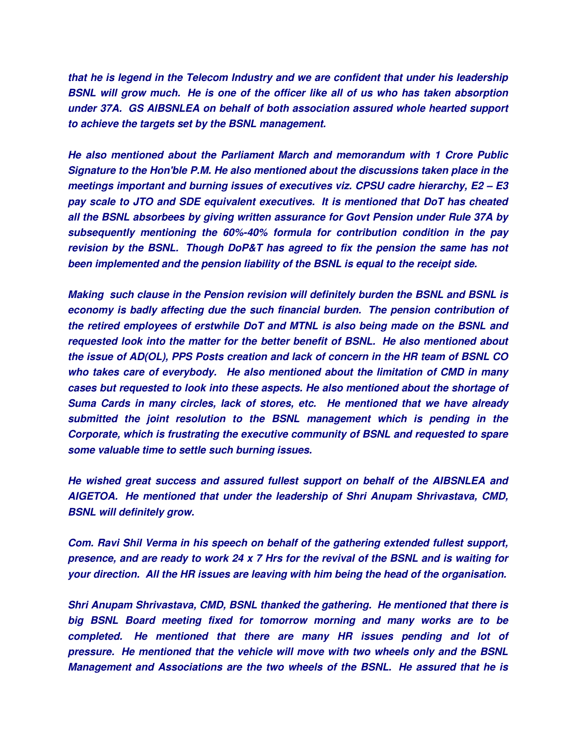*that he is legend in the Telecom Industry and we are confident that under his leadership BSNL will grow much. He is one of the officer like all of us who has taken absorption under 37A. GS AIBSNLEA on behalf of both association assured whole hearted support to achieve the targets set by the BSNL management.*

*He also mentioned about the Parliament March and memorandum with 1 Crore Public Signature to the Hon'ble P.M. He also mentioned about the discussions taken place in the meetings important and burning issues of executives viz. CPSU cadre hierarchy, E2 – E3 pay scale to JTO and SDE equivalent executives. It is mentioned that DoT has cheated all the BSNL absorbees by giving written assurance for Govt Pension under Rule 37A by subsequently mentioning the 60%-40% formula for contribution condition in the pay revision by the BSNL. Though DoP&T has agreed to fix the pension the same has not been implemented and the pension liability of the BSNL is equal to the receipt side.*

*Making such clause in the Pension revision will definitely burden the BSNL and BSNL is economy is badly affecting due the such financial burden. The pension contribution of the retired employees of erstwhile DoT and MTNL is also being made on the BSNL and requested look into the matter for the better benefit of BSNL. He also mentioned about the issue of AD(OL), PPS Posts creation and lack of concern in the HR team of BSNL CO who takes care of everybody. He also mentioned about the limitation of CMD in many cases but requested to look into these aspects. He also mentioned about the shortage of Suma Cards in many circles, lack of stores, etc. He mentioned that we have already submitted the joint resolution to the BSNL management which is pending in the Corporate, which is frustrating the executive community of BSNL and requested to spare some valuable time to settle such burning issues.*

*He wished great success and assured fullest support on behalf of the AIBSNLEA and AIGETOA. He mentioned that under the leadership of Shri Anupam Shrivastava, CMD, BSNL will definitely grow.*

*Com. Ravi Shil Verma in his speech on behalf of the gathering extended fullest support, presence, and are ready to work 24 x 7 Hrs for the revival of the BSNL and is waiting for your direction. All the HR issues are leaving with him being the head of the organisation.*

*Shri Anupam Shrivastava, CMD, BSNL thanked the gathering. He mentioned that there is big BSNL Board meeting fixed for tomorrow morning and many works are to be completed. He mentioned that there are many HR issues pending and lot of pressure. He mentioned that the vehicle will move with two wheels only and the BSNL Management and Associations are the two wheels of the BSNL. He assured that he is*